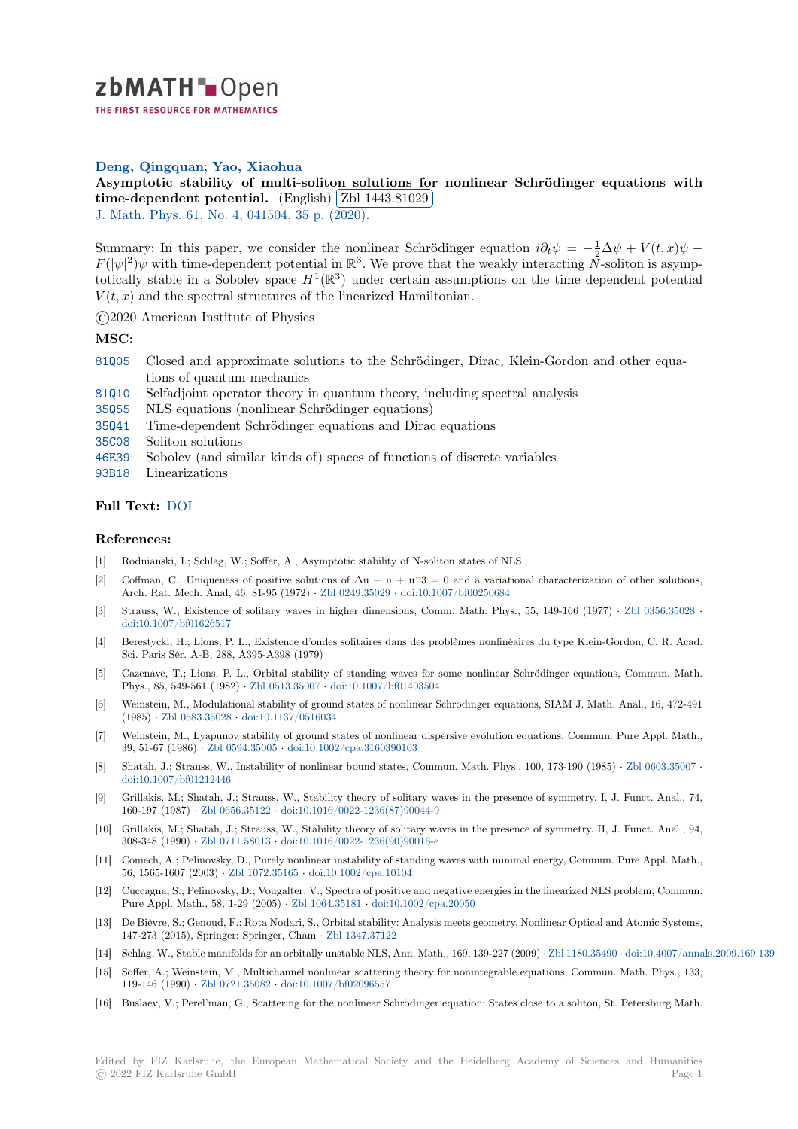

THE FIRST RESOURCE FOR MATHEMATICS

## **Deng, Qingquan**; **Yao, Xiaohua**

**[A](https://zbmath.org/)symptotic stability of multi-soliton solutions for nonlinear Schrödinger equations with time-dependent potential.** (English) **Zbl 1443.81029** ✁

J. Math. Phys. 61, No. 4, 041504, 35 p. (2020).

[Summary: In this paper, we consider the nonlinear Schrödinger equation](https://zbmath.org/1443.81029)  $i\partial_t \psi = -\frac{1}{2}\Delta \psi + V(t, x)\psi F(|\psi|^2)\psi$  [with time-dependent](https://zbmath.org/1443.81029) potential in  $\mathbb{R}^3$ [. We prove th](https://zbmath.org/1443.81029)at the weakly interacting  $\bar{N}$ -soliton is asymp[totically stable](https://zbmath.org/journals/?q=se:134) [in a Sobolev space](https://zbmath.org/?q=in:450986)  $H^1(\mathbb{R}^3)$  under certain assumptions on the time dependent potential  $V(t, x)$  and the spectral structures of the linearized Hamiltonian.

©2020 American Institute of Physics

## **MSC:**

- 81Q05 Closed and approximate solutions to the Schrödinger, Dirac, Klein-Gordon and other equations of quantum mechanics
- 81Q10 Selfadjoint operator theory in quantum theory, including spectral analysis
- 35Q55 NLS equations (nonlinear Schrödinger equations)
- [35Q41](https://zbmath.org/classification/?q=cc:81Q05) Time-dependent Schrödinger equations and Dirac equations
- 35C08 Soliton solutions
- [46E39](https://zbmath.org/classification/?q=cc:81Q10) Sobolev (and similar kinds of) spaces of functions of discrete variables

[93B18](https://zbmath.org/classification/?q=cc:35Q55) Linearizations

## **[Full T](https://zbmath.org/classification/?q=cc:35C08)ext:** DOI

## **[Refer](https://zbmath.org/classification/?q=cc:93B18)ences:**

- [1] Rodnianski, I.; Schlag, W.; Soffer, A., Asymptotic stability of N-soliton states of NLS
- [2] Coffman, [C., U](https://dx.doi.org/10.1063/1.5144330)niqueness of positive solutions of  $\Delta u u + u^3 = 0$  and a variational characterization of other solutions, Arch. Rat. Mech. Anal, 46, 81-95 (1972) *·* Zbl 0249.35029 *·* doi:10.1007/bf00250684
- [3] Strauss, W., Existence of solitary waves in higher dimensions, Comm. Math. Phys., 55, 149-166 (1977) *·* Zbl 0356.35028 *·* doi:10.1007/bf01626517
- [4] Berestycki, H.; Lions, P. L., Existence d'ondes solitaires dans des problèmes nonlinéaires du type Klein-Gordon, C. R. Acad. Sci. Paris Sér. A-B, 288, A395-A398 (1979[\)](https://zbmath.org/0249.35029)
- [5] Cazenave, T.; Lions, P. L., Orbital stability of standing waves for some nonlinear Schrödinger equations, [Commun. Math](https://zbmath.org/0356.35028). [Phys., 85, 549-561 \(1982](https://dx.doi.org/10.1007/bf01626517)) *·* Zbl 0513.35007 *·* doi:10.1007/bf01403504
- [6] Weinstein, M., Modulational stability of ground states of nonlinear Schrödinger equations, SIAM J. Math. Anal., 16, 472-491 (1985) *·* Zbl 0583.35028 *·* doi:10.1137/0516034
- [7] Weinstein, M., Lyapunov stability of ground states of nonlinear dispersive evolution equations, Commun. Pure Appl. Math., 39, 51-67 (1986) *·* Zbl 0594.35005 *·* [doi:10.1](https://zbmath.org/0513.35007)0[02/cpa.3160390103](https://dx.doi.org/10.1007/bf01403504)
- [8] Shatah, J.; Strauss, W., Instability of nonlinear bound states, Commun. Math. Phys., 100, 173-190 (1985) *·* Zbl 0603.35007 *·* doi:10.1[007/bf01212446](https://zbmath.org/0583.35028)
- [9] Grillakis, M.; Shatah, J.; Strauss, W., Stability theory of solitary waves in the presence of symmetry. I, J. Funct. Anal., 74, 160-197 (1987) *·* Z[bl 0656.35122](https://zbmath.org/0594.35005) *·* d[oi:10.1016/0022-1236\(87\)900](https://dx.doi.org/10.1002/cpa.3160390103)44-9
- [10] Grillakis, M.; Shatah, J.; Strauss, W., Stability theory of solitary waves in the presence of symmetry. II, J. [Funct. Anal., 94](https://zbmath.org/0603.35007), [308-348 \(1990\)](https://dx.doi.org/10.1007/bf01212446) *·* Zbl 0711.58013 *·* doi:10.1016/0022-1236(90)90016-e
- [11] Comech, A.; Pelinovsky, D., Purely nonlinear instability of standing waves with minimal energy, Commun. Pure Appl. Math., 56, 1565-1607 (2003) *·* [Zbl 1072.](https://zbmath.org/0656.35122)35165 *·* [doi:10.1002/cpa.10104](https://dx.doi.org/10.1016/0022-1236(87)90044-9)
- [12] Cuccagna, S.; Pelinovsky, D.; Vougalter, V., Spectra of positive and negative energies in the linearized NLS problem, Commun. Pure Appl. Mat[h., 58, 1-29 \(200](https://zbmath.org/0711.58013)5) *·* [Zbl 1064.35181](https://dx.doi.org/10.1016/0022-1236(90)90016-e) *·* doi:10.1002/cpa.20050
- [13] De Bièvre, S.; Genoud, F.; Rota Nodari, S., Orbital stability: Analysis meets geometry, Nonlinear Optical and Atomic Systems, 147-273 (2015), Spring[er: Springer, Ch](https://zbmath.org/1072.35165)am *·* [Zbl 1347.37122](https://dx.doi.org/10.1002/cpa.10104)
- [14] Schlag, W., Stable manifolds for an orbitally unstable NLS, Ann. Math., 169, 139-227 (2009) *·* Zbl 1180.35490 *·* doi:10.4007/annals.2009.169.139
- [15] Soffer, A.; Weinstein, M., Multichan[nel nonlinear sc](https://zbmath.org/1064.35181)a[ttering theory for nonin](https://dx.doi.org/10.1002/cpa.20050)tegrable equations, Commun. Math. Phys., 133, 119-146 (1990) *·* Zbl 0721.35082 *·* doi:10.1007/bf02096557
- [16] Buslaev, V.; Perel'man, G., Scattering fort[he nonlinear Sch](https://zbmath.org/1347.37122)rödinger equation: States close to a soliton, St. Petersburg Math.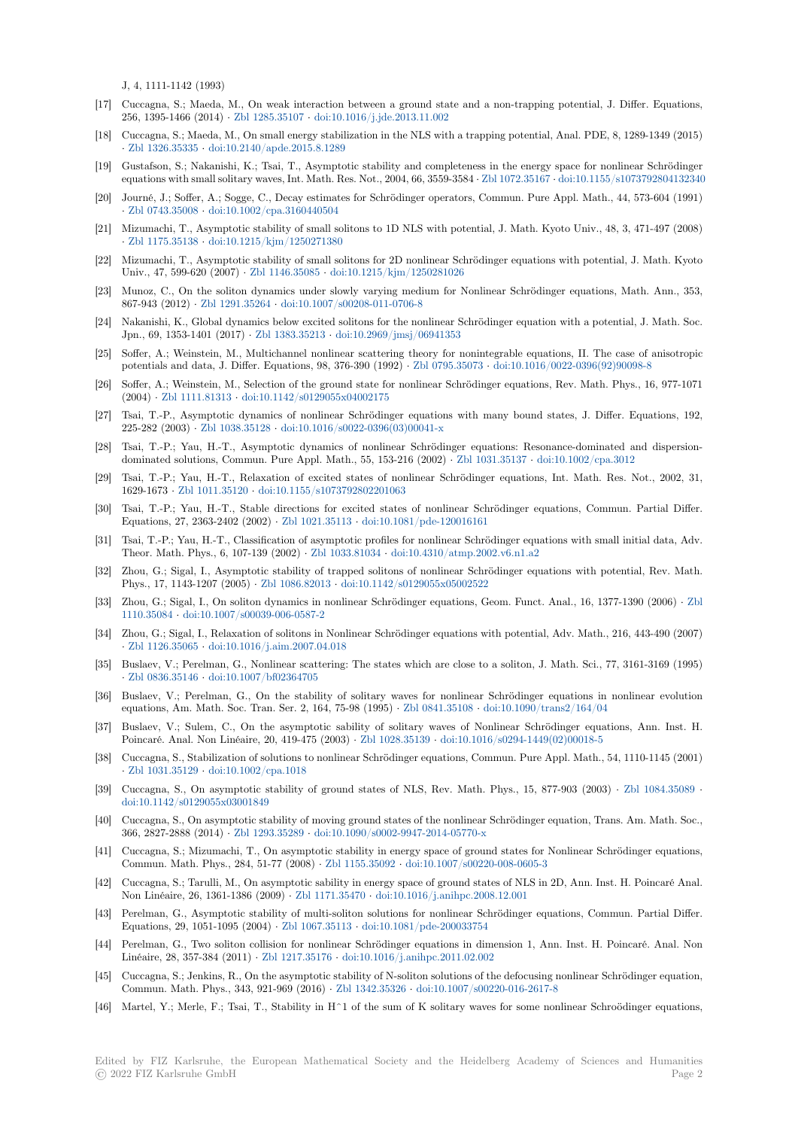J, 4, 1111-1142 (1993)

- [17] Cuccagna, S.; Maeda, M., On weak interaction between a ground state and a non-trapping potential, J. Differ. Equations, 256, 1395-1466 (2014) *·* Zbl 1285.35107 *·* doi:10.1016/j.jde.2013.11.002
- [18] Cuccagna, S.; Maeda, M., On small energy stabilization in the NLS with a trapping potential, Anal. PDE, 8, 1289-1349 (2015) *·* Zbl 1326.35335 *·* doi:10.2140/apde.2015.8.1289
- [19] Gustafson, S.; Nakanishi, K.; Tsai, T., Asymptotic stability and completeness in the energy space for nonlinear Schrödinger equations with small soli[tary waves, Int.](https://zbmath.org/1285.35107) [Math. Res. Not., 2004, 66, 3559-](https://dx.doi.org/10.1016/j.jde.2013.11.002)3584 *·* Zbl 1072.35167 *·* doi:10.1155/s1073792804132340
- [20] Journé, J.; Soffer, A.; Sogge, C., Decay estimates for Schrödinger operators, Commun. Pure Appl. Math., 44, 573-604 (1991) *·* [Zbl 0743.35008](https://zbmath.org/1326.35335) *·* [doi:10.1002/cpa.3160440504](https://dx.doi.org/10.2140/apde.2015.8.1289)
- [21] Mizumachi, T., Asymptotic stability of small solitons to 1D NLS with potential, J. Math. Kyoto Univ., 48, 3, 471-497 (2008) *·* Zbl 1175.35138 *·* doi:10.1215/kjm/1250271380
- [22] Mizumachi, T., Asymptotic stability of small solitons for 2D nonlinear Schrödinger equations with potential, J. Math. Kyoto [Univ., 47, 599-62](https://zbmath.org/0743.35008)0 (2007) *·* [Zbl 1146.35085](https://dx.doi.org/10.1002/cpa.3160440504) *·* doi:10.1215/kjm/1250281026
- [23] Munoz, C., On the soliton dynamics under slowly varying medium for Nonlinear Schrödinger equations, Math. Ann., 353, 8[67-943 \(2012\)](https://zbmath.org/1175.35138) *·* Zbl 1291.35264 *·* [doi:10.1007/s0](https://dx.doi.org/10.1215/kjm/1250271380)0208-011-0706-8
- [24] Nakanishi, K., Global dynamics below excited solitons for the nonlinear Schrödinger equation with a potential, J. Math. Soc. Jpn., 69, 1353-1401 (2017) *·* [Zbl 1383.35213](https://zbmath.org/1146.35085) *·* [doi:10.2969/jmsj/06941353](https://dx.doi.org/10.1215/kjm/1250281026)
- [25] Soffer, A.; Weinstein, M., Multichannel nonlinear scattering theory for nonintegrable equations, II. The case of anisotropic potentials and d[ata, J. Differ. E](https://zbmath.org/1291.35264)q[uations, 98, 376-390 \(1992\)](https://dx.doi.org/10.1007/s00208-011-0706-8) *·* Zbl 0795.35073 *·* doi:10.1016/0022-0396(92)90098-8
- [26] Soffer, A.; Weinstein, M., Selection of the ground state for nonlinear Schrödinger equations, Rev. Math. Phys., 16, 977-1071 (2004) *·* Zbl 1111.81313 *·* do[i:10.1142/s01290](https://zbmath.org/1383.35213)5[5x04002175](https://dx.doi.org/10.2969/jmsj/06941353)
- [27] Tsai, T.-P., Asymptotic dynamics of nonlinear Schrödinger equations with many bound states, J. Differ. Equations, 192, 225-282 (2003) *·* Zbl 1038.35128 *·* doi:10.1016/s0022-0396(03)[00041-x](https://zbmath.org/0795.35073)
- [28] Tsai, T.-P.; Yau, H.-T., Asymptotic dynamics of nonlinear Schrödinger equations: Resonance-dominated and dispersiondominat[ed solutions, Co](https://zbmath.org/1111.81313)[mmun. Pure Appl. Math., 55, 153](https://dx.doi.org/10.1142/s0129055x04002175)-216 (2002) *·* Zbl 1031.35137 *·* doi:10.1002/cpa.3012
- [29] Tsai, T.-P.; Yau, H.-T., Relaxation of excited states of nonlinear Schrödinger equations, Int. Math. Res. Not., 2002, 31, 1629-1673 *·* Zbl [1011.35120](https://zbmath.org/1038.35128) *·* doi:1[0.1155/s1073792802201063](https://dx.doi.org/10.1016/s0022-0396(03)00041-x)
- [30] Tsai, T.-P.; Yau, H.-T., Stable directions for excited states of nonlinear Schrödinger equations, Commun. Partial Differ. Equations, 27, 2363-2402 (2002) *·* Zbl 1021.35113 *·* doi:10.1081/pde-120[016161](https://zbmath.org/1031.35137)
- [31] Tsai, T.-P.; Yau, H.-T., Classification of asymptotic profiles for nonlinear Schrödinger equations with small initial data, Adv. Theor. Mat[h. Phys., 6, 107-](https://zbmath.org/1011.35120)139 (2002) *·* [Zbl 1033.81034](https://dx.doi.org/10.1155/s1073792802201063) *·* doi:10.4310/atmp.2002.v6.n1.a2
- [32] Zhou, G.; Sigal, I., Asymptotic stability of trapped solitons of nonlinear Schrödinger equations with potential, Rev. Math. Phys., 17, 1143-1207 (2005) *·* Zbl [1086.82013](https://zbmath.org/1021.35113) *·* doi:[10.1142/s0129055x05002522](https://dx.doi.org/10.1081/pde-120016161)
- [33] Zhou, G.; Sigal, I., On soliton dynamics in nonlinear Schrödinger equations, Geom. Funct. Anal., 16, 1377-1390 (2006) *·* Zbl 1110.35084 *·* doi:10.1007/s00039-006-058[7-2](https://zbmath.org/1033.81034)
- [34] Zhou, G.; Sigal, I., Relaxation of solitons in Nonlinear Schrödinger equations with potential, Adv. Math., 216, 443-490 (2007) *·* Zbl 1126.35065 *·* doi:10.1016[/j.aim.2007.04.0](https://zbmath.org/1086.82013)1[8](https://dx.doi.org/10.1142/s0129055x05002522)
- [35] Buslaev, V.; Perelman, G., Nonlinear scattering: The states which are close to a soliton, J. Math. Sci., 77, 3161-3169 (1[995\)](https://zbmath.org/1110.35084) *·* [Zbl 0836.3](https://zbmath.org/1110.35084)5146 *·* [doi:10.1007/bf02364705](https://dx.doi.org/10.1007/s00039-006-0587-2)
- [36] Buslaev, V.; Perelman, G., On the stability of solitary waves for nonlinear Schrödinger equations in nonlinear evolution e[quations, Am. M](https://zbmath.org/1126.35065)[ath. Soc. Tran. Ser. 2, 164, 75-](https://dx.doi.org/10.1016/j.aim.2007.04.018)98 (1995) *·* Zbl 0841.35108 *·* doi:10.1090/trans2/164/04
- [37] Buslaev, V.; Sulem, C., On the asymptotic sability of solitary waves of Nonlinear Schrödinger equations, Ann. Inst. H. [Poincaré. Anal. N](https://zbmath.org/0836.35146)[on Linéaire, 20, 419-475](https://dx.doi.org/10.1007/bf02364705) (2003) *·* Zbl 1028.35139 *·* doi:10.1016/s0294-1449(02)00018-5
- [38] Cuccagna, S., Stabilization of solutions to nonlinear Schrödinger equations, Commun. Pure Appl. Math., 54, 1110-1145 (2001) *·* Zbl 1031.35129 *·* doi:10.1002/cpa.1018
- [39] Cuccagna, S., On asymptotic stability of ground states of NLS, Rev. Math. Phys., 15, 877-903 (2003) *·* Zbl 1084.35089 *·* doi:10.1142/s0129055x03001849
- [40] Cuccagna, S., On asymptotic stability of moving ground states of the nonlinear Schrödinger equation, Trans. Am. Math. Soc., 3[66, 2827-2888 \(2](https://zbmath.org/1031.35129)014) *·* [Zbl 1293.35289](https://dx.doi.org/10.1002/cpa.1018) *·* doi:10.1090/s0002-9947-2014-05770-x
- [41] Cuccagna, S.; Mizumachi, T., On asymptotic stability in energy space of ground states for Nonlinear Schrö[dinger equation](https://zbmath.org/1084.35089)s, [Commun. Math. Phys., 284, 51-](https://dx.doi.org/10.1142/s0129055x03001849)77 (2008) *·* Zbl 1155.35092 *·* doi:10.1007/s00220-008-0605-3
- [42] Cuccagna, S.; Tarulli, M., On asymptotic sability in energy space of ground states of NLS in 2D, Ann. Inst. H. Poincaré Anal. Non Linéaire, 26, 1361-[1386 \(2009\)](https://zbmath.org/1293.35289) *·* Zbl 1171.35470 *·* [doi:10.1016/j.anihpc.200](https://dx.doi.org/10.1090/s0002-9947-2014-05770-x)8.12.001
- [43] Perelman, G., Asymptotic stability of multi-soliton solutions for nonlinear Schrödinger equations, Commun. Partial Differ. Equations, 29, 1051-1095 (2004) *·* Zbl 1067.35113 *·* [doi:10.1](https://zbmath.org/1155.35092)0[81/pde-200033754](https://dx.doi.org/10.1007/s00220-008-0605-3)
- [44] Perelman, G., Two soliton collision for nonlinear Schrödinger equations in dimension 1, Ann. Inst. H. Poincaré. Anal. Non Linéaire, 28, 357-384 (2011) *·* Zbl 12[17.35176](https://zbmath.org/1171.35470) *·* doi:10.[1016/j.anihpc.2011.02.002](https://dx.doi.org/10.1016/j.anihpc.2008.12.001)
- [45] Cuccagna, S.; Jenkins, R., On the asymptotic stability of N-soliton solutions of the defocusing nonlinear Schrödinger equation, Commun. Math. Phys., 343, 921-[969 \(2016\)](https://zbmath.org/1067.35113) *·* Zbl 1342.35326 *·* [doi:10.1007/s00](https://dx.doi.org/10.1081/pde-200033754)220-016-2617-8
- [46] Martel, Y.; Merle, F.; Tsai, T., Stability in H^1 of the sum of K solitary waves for some nonlinear Schroödinger equations,